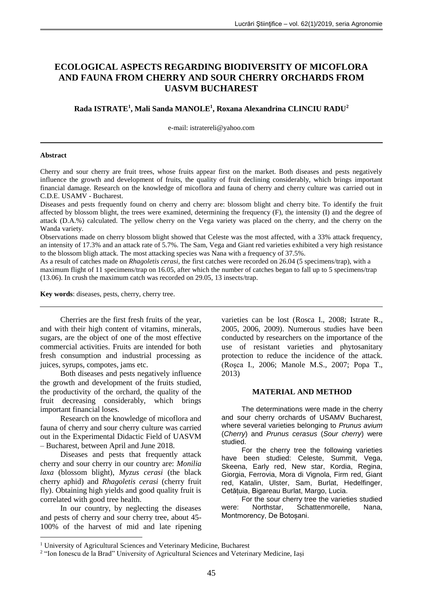# **ECOLOGICAL ASPECTS REGARDING BIODIVERSITY OF MICOFLORA AND FAUNA FROM CHERRY AND SOUR CHERRY ORCHARDS FROM UASVM BUCHAREST**

## **Rada ISTRATE<sup>1</sup> , Mali Sanda MANOLE<sup>1</sup> , Roxana Alexandrina CLINCIU RADU<sup>2</sup>**

e-mail: [istratereli@yahoo.com](mailto:istratereli@yahoo.com)

#### **Abstract**

Cherry and sour cherry are fruit trees, whose fruits appear first on the market. Both diseases and pests negatively influence the growth and development of fruits, the quality of fruit declining considerably, which brings important financial damage. Research on the knowledge of micoflora and fauna of cherry and cherry culture was carried out in C.D.E. USAMV - Bucharest.

Diseases and pests frequently found on cherry and cherry are: blossom blight and cherry bite. To identify the fruit affected by blossom blight, the trees were examined, determining the frequency (F), the intensity (I) and the degree of attack (D.A.%) calculated. The yellow cherry on the Vega variety was placed on the cherry, and the cherry on the Wanda variety.

Observations made on cherry blossom blight showed that Celeste was the most affected, with a 33% attack frequency, an intensity of 17.3% and an attack rate of 5.7%. The Sam, Vega and Giant red varieties exhibited a very high resistance to the blossom bligh attack. The most attacking species was Nana with a frequency of 37.5%.

As a result of catches made on *Rhagoletis cerasi*, the first catches were recorded on 26.04 (5 specimens/trap), with a maximum flight of 11 specimens/trap on 16.05, after which the number of catches began to fall up to 5 specimens/trap (13.06). In crush the maximum catch was recorded on 29.05, 13 insects/trap.

**Key words**: diseases, pests, cherry, cherry tree.

Cherries are the first fresh fruits of the year, and with their high content of vitamins, minerals, sugars, are the object of one of the most effective commercial activities. Fruits are intended for both fresh consumption and industrial processing as juices, syrups, compotes, jams etc.

Both diseases and pests negatively influence the growth and development of the fruits studied, the productivity of the orchard, the quality of the fruit decreasing considerably, which brings important financial loses.

Research on the knowledge of micoflora and fauna of cherry and sour cherry culture was carried out in the Experimental Didactic Field of UASVM – Bucharest, between April and June 2018.

Diseases and pests that frequently attack cherry and sour cherry in our country are: *Monilia laxa* (blossom blight), *Myzus cerasi* (the black cherry aphid) and *Rhagoletis cerasi* (cherry fruit fly). Obtaining high yields and good quality fruit is correlated with good tree health.

In our country, by neglecting the diseases and pests of cherry and sour cherry tree, about 45- 100% of the harvest of mid and late ripening

<u>.</u>

varieties can be lost (Rosca I., 2008; Istrate R., 2005, 2006, 2009). Numerous studies have been conducted by researchers on the importance of the use of resistant varieties and phytosanitary protection to reduce the incidence of the attack. (Roşca I., 2006; Manole M.S., 2007; Popa T., 2013)

## **MATERIAL AND METHOD**

The determinations were made in the cherry and sour cherry orchards of USAMV Bucharest, where several varieties belonging to *Prunus avium* (*Cherry*) and *Prunus cerasus* (*Sour cherry*) were studied.

For the cherry tree the following varieties have been studied: Celeste, Summit, Vega, Skeena, Early red, New star, Kordia, Regina, Giorgia, Ferrovia, Mora di Vignola, Firm red, Giant red, Katalin, Ulster, Sam, Burlat, Hedelfinger, Cetățuia, Bigareau Burlat, Margo, Lucia.

For the sour cherry tree the varieties studied were: Northstar, Schattenmorelle, Nana, Montmorency, De Botoșani.

<sup>&</sup>lt;sup>1</sup> University of Agricultural Sciences and Veterinary Medicine, Bucharest

<sup>&</sup>lt;sup>2</sup> "Ion Ionescu de la Brad" University of Agricultural Sciences and Veterinary Medicine, Iași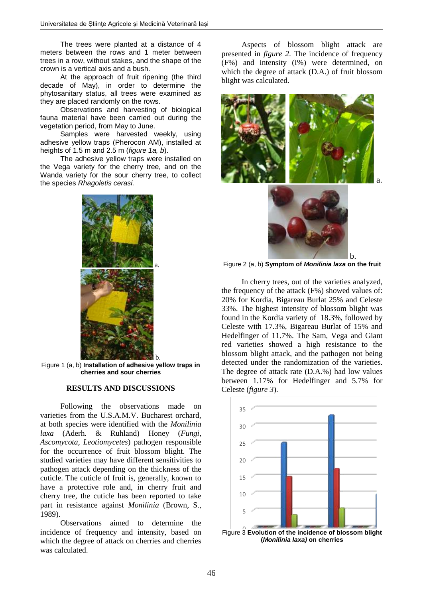The trees were planted at a distance of 4 meters between the rows and 1 meter between trees in a row, without stakes, and the shape of the crown is a vertical axis and a bush.

At the approach of fruit ripening (the third decade of May), in order to determine the phytosanitary status, all trees were examined as they are placed randomly on the rows.

Observations and harvesting of biological fauna material have been carried out during the vegetation period, from May to June.

Samples were harvested weekly, using adhesive yellow traps (Pherocon AM), installed at heights of 1.5 m and 2.5 m (*figure 1a, b*).

The adhesive yellow traps were installed on the Vega variety for the cherry tree, and on the Wanda variety for the sour cherry tree, to collect the species *Rhagoletis cerasi.*



Figure 1 (a, b) **Installation of adhesive yellow traps in cherries and sour cherries**

## **RESULTS AND DISCUSSIONS**

Following the observations made varieties from the U.S.A.M.V. Bucharest orchard, at both species were identified with the *Monilinia laxa* (Aderh. & Ruhland) Honey (*Fungi*, *Ascomycota*, *Leotiomycetes*) pathogen responsible for the occurrence of fruit blossom blight. The studied varieties may have different sensitivities to pathogen attack depending on the thickness of the cuticle. The cuticle of fruit is, generally, known to have a protective role and, in cherry fruit and cherry tree, the cuticle has been reported to take part in resistance against *Monilinia* (Brown, S., 1989).

Observations aimed to determine the incidence of frequency and intensity, based on which the degree of attack on cherries and cherries was calculated.

Aspects of blossom blight attack are presented in *figure 2*. The incidence of frequency (F%) and intensity (I%) were determined, on which the degree of attack (D.A.) of fruit blossom blight was calculated.





Figure 2 (a, b) **Symptom of** *Monilinia laxa* **on the fruit**

In cherry trees, out of the varieties analyzed, the frequency of the attack (F%) showed values of: 20% for Kordia, Bigareau Burlat 25% and Celeste 33%. The highest intensity of blossom blight was found in the Kordia variety of 18.3%, followed by Celeste with 17.3%, Bigareau Burlat of 15% and Hedelfinger of 11.7%. The Sam, Vega and Giant red varieties showed a high resistance to the blossom blight attack, and the pathogen not being detected under the randomization of the varieties. The degree of attack rate (D.A.%) had low values between 1.17% for Hedelfinger and 5.7% for Celeste (*figure 3*).

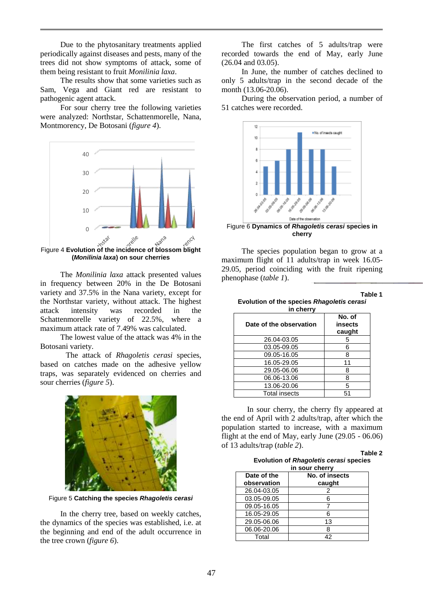Due to the phytosanitary treatments applied periodically against diseases and pests, many of the trees did not show symptoms of attack, some of them being resistant to fruit *Monilinia laxa*.

The results show that some varieties such as Sam, Vega and Giant red are resistant to pathogenic agent attack.

For sour cherry tree the following varieties were analyzed: Northstar, Schattenmorelle, Nana, Montmorency, De Botosani (*figure 4*).



**(***Monilinia laxa***) on sour cherries**

The *Monilinia laxa* attack presented values in frequency between 20% in the De Botosani variety and 37.5% in the Nana variety, except for the Northstar variety, without attack. The highest attack intensity was recorded in the Schattenmorelle variety of 22.5%, where a maximum attack rate of 7.49% was calculated.

The lowest value of the attack was 4% in the Botosani variety.

The attack of *Rhagoletis cerasi* species, based on catches made on the adhesive yellow traps, was separately evidenced on cherries and sour cherries (*figure 5*).



Figure 5 **Catching the species** *Rhagoletis cerasi*

In the cherry tree, based on weekly catches, the dynamics of the species was established, i.e. at the beginning and end of the adult occurrence in the tree crown (*figure 6*).

The first catches of 5 adults/trap were recorded towards the end of May, early June (26.04 and 03.05).

In June, the number of catches declined to only 5 adults/trap in the second decade of the month (13.06-20.06).

During the observation period, a number of 51 catches were recorded.



The species population began to grow at a maximum flight of 11 adults/trap in week 16.05- 29.05, period coinciding with the fruit ripening phenophase (*table 1*).

**Table 1**

|  |           | Evolution of the species Rhagoletis cerasi |  |
|--|-----------|--------------------------------------------|--|
|  | in cherry |                                            |  |

| in cherry               |                             |  |  |  |  |
|-------------------------|-----------------------------|--|--|--|--|
| Date of the observation | No. of<br>insects<br>caught |  |  |  |  |
| 26.04-03.05             | 5                           |  |  |  |  |
| 03.05-09.05             | 6                           |  |  |  |  |
| 09.05-16.05             | 8                           |  |  |  |  |
| 16.05-29.05             | 11                          |  |  |  |  |
| 29.05-06.06             | 8                           |  |  |  |  |
| 06.06-13.06             | 8                           |  |  |  |  |
| 13.06-20.06             | 5                           |  |  |  |  |
| <b>Total insects</b>    | 51                          |  |  |  |  |

In sour cherry, the cherry fly appeared at the end of April with 2 adults/trap, after which the population started to increase, with a maximum flight at the end of May, early June (29.05 - 06.06) of 13 adults/trap (*table 2*).

**Table 2 Evolution of** *Rhagoletis cerasi* **species in sour cherry**

| <b>III JUUL UIIUI I</b> |                |  |  |  |
|-------------------------|----------------|--|--|--|
| Date of the             | No. of insects |  |  |  |
| observation             | caught         |  |  |  |
| 26.04-03.05             | 2              |  |  |  |
| 03.05-09.05             | 6              |  |  |  |
| 09.05-16.05             | 7              |  |  |  |
| 16.05-29.05             | 6              |  |  |  |
| 29.05-06.06             | 13             |  |  |  |
| 06.06-20.06             | 8              |  |  |  |
| Total                   | 42             |  |  |  |